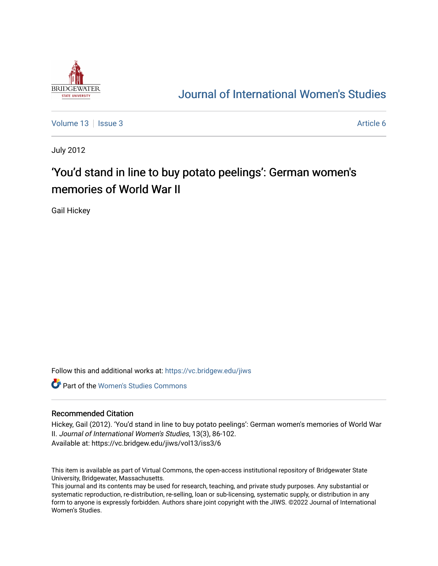

## [Journal of International Women's Studies](https://vc.bridgew.edu/jiws)

[Volume 13](https://vc.bridgew.edu/jiws/vol13) | [Issue 3](https://vc.bridgew.edu/jiws/vol13/iss3) Article 6

July 2012

# 'You'd stand in line to buy potato peelings': German women's memories of World War II

Gail Hickey

Follow this and additional works at: [https://vc.bridgew.edu/jiws](https://vc.bridgew.edu/jiws?utm_source=vc.bridgew.edu%2Fjiws%2Fvol13%2Fiss3%2F6&utm_medium=PDF&utm_campaign=PDFCoverPages)

**C** Part of the Women's Studies Commons

#### Recommended Citation

Hickey, Gail (2012). 'You'd stand in line to buy potato peelings': German women's memories of World War II. Journal of International Women's Studies, 13(3), 86-102. Available at: https://vc.bridgew.edu/jiws/vol13/iss3/6

This item is available as part of Virtual Commons, the open-access institutional repository of Bridgewater State University, Bridgewater, Massachusetts.

This journal and its contents may be used for research, teaching, and private study purposes. Any substantial or systematic reproduction, re-distribution, re-selling, loan or sub-licensing, systematic supply, or distribution in any form to anyone is expressly forbidden. Authors share joint copyright with the JIWS. ©2022 Journal of International Women's Studies.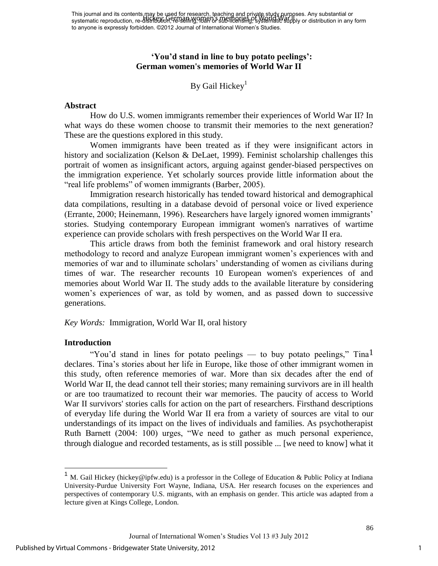This journal and its contents may be used for research, teaching and private study purposes. Any substantial or systematic reproduction, re-distribution, re-leselling, ባሀan or sub-licensing, systematic supply or distribution in any form to anyone is expressly forbidden. ©2012 Journal of International Women's Studies. Hickey: German women's memories of World Ward

#### **'You'd stand in line to buy potato peelings': German women's memories of World War II**

## By Gail Hickey<sup>1</sup>

#### **Abstract**

 How do U.S. women immigrants remember their experiences of World War II? In what ways do these women choose to transmit their memories to the next generation? These are the questions explored in this study.

 Women immigrants have been treated as if they were insignificant actors in history and socialization (Kelson & DeLaet, 1999). Feminist scholarship challenges this portrait of women as insignificant actors, arguing against gender-biased perspectives on the immigration experience. Yet scholarly sources provide little information about the "real life problems" of women immigrants (Barber, 2005).

 Immigration research historically has tended toward historical and demographical data compilations, resulting in a database devoid of personal voice or lived experience (Errante, 2000; Heinemann, 1996). Researchers have largely ignored women immigrants" stories. Studying contemporary European immigrant women's narratives of wartime experience can provide scholars with fresh perspectives on the World War II era.

 This article draws from both the feminist framework and oral history research methodology to record and analyze European immigrant women"s experiences with and memories of war and to illuminate scholars' understanding of women as civilians during times of war. The researcher recounts 10 European women's experiences of and memories about World War II. The study adds to the available literature by considering women's experiences of war, as told by women, and as passed down to successive generations.

*Key Words:* Immigration, World War II, oral history

#### **Introduction**

 $\overline{a}$ 

"You'd stand in lines for potato peelings — to buy potato peelings," Tina<sup>1</sup> declares. Tina"s stories about her life in Europe, like those of other immigrant women in this study, often reference memories of war. More than six decades after the end of World War II, the dead cannot tell their stories; many remaining survivors are in ill health or are too traumatized to recount their war memories. The paucity of access to World War II survivors' stories calls for action on the part of researchers. Firsthand descriptions of everyday life during the World War II era from a variety of sources are vital to our understandings of its impact on the lives of individuals and families. As psychotherapist Ruth Barnett (2004: 100) urges, "We need to gather as much personal experience, through dialogue and recorded testaments, as is still possible ... [we need to know] what it

<sup>&</sup>lt;sup>1</sup> M. Gail Hickey (hickey@ipfw.edu) is a professor in the College of Education & Public Policy at Indiana University-Purdue University Fort Wayne, Indiana, USA. Her research focuses on the experiences and perspectives of contemporary U.S. migrants, with an emphasis on gender. This article was adapted from a lecture given at Kings College, London.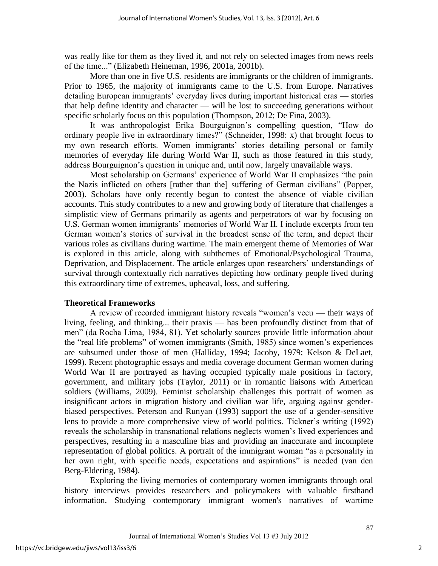was really like for them as they lived it, and not rely on selected images from news reels of the time..." (Elizabeth Heineman, 1996, 2001a, 2001b).

 More than one in five U.S. residents are immigrants or the children of immigrants. Prior to 1965, the majority of immigrants came to the U.S. from Europe. Narratives detailing European immigrants' everyday lives during important historical eras — stories that help define identity and character — will be lost to succeeding generations without specific scholarly focus on this population (Thompson, 2012; De Fina, 2003).

It was anthropologist Erika Bourguignon's compelling question, "How do ordinary people live in extraordinary times?" (Schneider, 1998: x) that brought focus to my own research efforts. Women immigrants' stories detailing personal or family memories of everyday life during World War II, such as those featured in this study, address Bourguignon"s question in unique and, until now, largely unavailable ways.

Most scholarship on Germans" experience of World War II emphasizes "the pain the Nazis inflicted on others [rather than the] suffering of German civilians" (Popper, 2003). Scholars have only recently begun to contest the absence of viable civilian accounts. This study contributes to a new and growing body of literature that challenges a simplistic view of Germans primarily as agents and perpetrators of war by focusing on U.S. German women immigrants' memories of World War II. I include excerpts from ten German women"s stories of survival in the broadest sense of the term, and depict their various roles as civilians during wartime. The main emergent theme of Memories of War is explored in this article, along with subthemes of Emotional/Psychological Trauma, Deprivation, and Displacement. The article enlarges upon researchers' understandings of survival through contextually rich narratives depicting how ordinary people lived during this extraordinary time of extremes, upheaval, loss, and suffering.

## **Theoretical Frameworks**

A review of recorded immigrant history reveals "women"s vecu — their ways of living, feeling, and thinking... their praxis — has been profoundly distinct from that of men" (da Rocha Lima, 1984, 81). Yet scholarly sources provide little information about the "real life problems" of women immigrants (Smith, 1985) since women"s experiences are subsumed under those of men (Halliday, 1994; Jacoby, 1979; Kelson & DeLaet, 1999). Recent photographic essays and media coverage document German women during World War II are portrayed as having occupied typically male positions in factory, government, and military jobs (Taylor, 2011) or in romantic liaisons with American soldiers (Williams, 2009). Feminist scholarship challenges this portrait of women as insignificant actors in migration history and civilian war life, arguing against genderbiased perspectives. Peterson and Runyan (1993) support the use of a gender-sensitive lens to provide a more comprehensive view of world politics. Tickner's writing (1992) reveals the scholarship in transnational relations neglects women"s lived experiences and perspectives, resulting in a masculine bias and providing an inaccurate and incomplete representation of global politics. A portrait of the immigrant woman "as a personality in her own right, with specific needs, expectations and aspirations" is needed (van den Berg-Eldering, 1984).

 Exploring the living memories of contemporary women immigrants through oral history interviews provides researchers and policymakers with valuable firsthand information. Studying contemporary immigrant women's narratives of wartime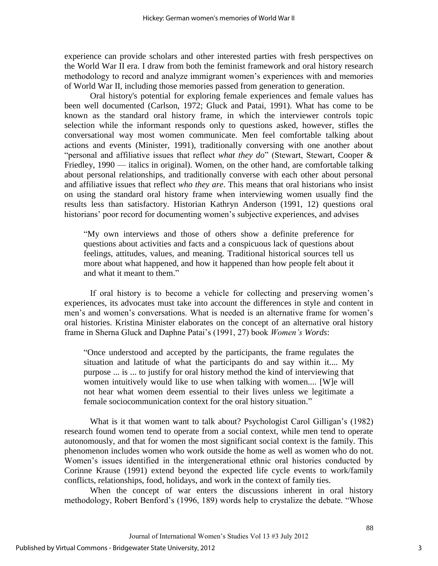experience can provide scholars and other interested parties with fresh perspectives on the World War II era. I draw from both the feminist framework and oral history research methodology to record and analyze immigrant women"s experiences with and memories of World War II, including those memories passed from generation to generation.

 Oral history's potential for exploring female experiences and female values has been well documented (Carlson, 1972; Gluck and Patai, 1991). What has come to be known as the standard oral history frame, in which the interviewer controls topic selection while the informant responds only to questions asked, however, stifles the conversational way most women communicate. Men feel comfortable talking about actions and events (Minister, 1991), traditionally conversing with one another about "personal and affiliative issues that reflect *what they do*" (Stewart, Stewart, Cooper & Friedley, 1990 — italics in original). Women, on the other hand, are comfortable talking about personal relationships, and traditionally converse with each other about personal and affiliative issues that reflect *who they are*. This means that oral historians who insist on using the standard oral history frame when interviewing women usually find the results less than satisfactory. Historian Kathryn Anderson (1991, 12) questions oral historians' poor record for documenting women's subjective experiences, and advises

"My own interviews and those of others show a definite preference for questions about activities and facts and a conspicuous lack of questions about feelings, attitudes, values, and meaning. Traditional historical sources tell us more about what happened, and how it happened than how people felt about it and what it meant to them."

If oral history is to become a vehicle for collecting and preserving women"s experiences, its advocates must take into account the differences in style and content in men's and women's conversations. What is needed is an alternative frame for women's oral histories. Kristina Minister elaborates on the concept of an alternative oral history frame in Sherna Gluck and Daphne Patai"s (1991, 27) book *Women's Words*:

"Once understood and accepted by the participants, the frame regulates the situation and latitude of what the participants do and say within it.... My purpose ... is ... to justify for oral history method the kind of interviewing that women intuitively would like to use when talking with women.... [W]e will not hear what women deem essential to their lives unless we legitimate a female sociocommunication context for the oral history situation."

What is it that women want to talk about? Psychologist Carol Gilligan's (1982) research found women tend to operate from a social context, while men tend to operate autonomously, and that for women the most significant social context is the family. This phenomenon includes women who work outside the home as well as women who do not. Women's issues identified in the intergenerational ethnic oral histories conducted by Corinne Krause (1991) extend beyond the expected life cycle events to work/family conflicts, relationships, food, holidays, and work in the context of family ties.

 When the concept of war enters the discussions inherent in oral history methodology, Robert Benford"s (1996, 189) words help to crystalize the debate. "Whose

3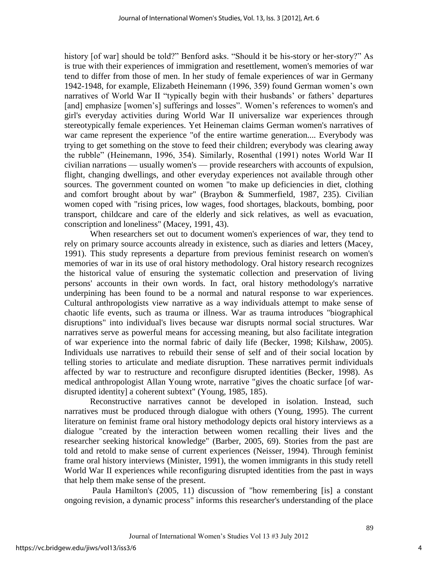history [of war] should be told?" Benford asks. "Should it be his-story or her-story?" As is true with their experiences of immigration and resettlement, women's memories of war tend to differ from those of men. In her study of female experiences of war in Germany 1942-1948, for example, Elizabeth Heinemann (1996, 359) found German women"s own narratives of World War II "typically begin with their husbands' or fathers' departures [and] emphasize [women's] sufferings and losses". Women's references to women's and girl's everyday activities during World War II universalize war experiences through stereotypically female experiences. Yet Heineman claims German women's narratives of war came represent the experience "of the entire wartime generation.... Everybody was trying to get something on the stove to feed their children; everybody was clearing away the rubble" (Heinemann, 1996, 354). Similarly, Rosenthal (1991) notes World War II civilian narrations — usually women's — provide researchers with accounts of expulsion, flight, changing dwellings, and other everyday experiences not available through other sources. The government counted on women "to make up deficiencies in diet, clothing and comfort brought about by war" (Braybon & Summerfield, 1987, 235). Civilian women coped with "rising prices, low wages, food shortages, blackouts, bombing, poor transport, childcare and care of the elderly and sick relatives, as well as evacuation, conscription and loneliness" (Macey, 1991, 43).

 When researchers set out to document women's experiences of war, they tend to rely on primary source accounts already in existence, such as diaries and letters (Macey, 1991). This study represents a departure from previous feminist research on women's memories of war in its use of oral history methodology. Oral history research recognizes the historical value of ensuring the systematic collection and preservation of living persons' accounts in their own words. In fact, oral history methodology's narrative underpining has been found to be a normal and natural response to war experiences. Cultural anthropologists view narrative as a way individuals attempt to make sense of chaotic life events, such as trauma or illness. War as trauma introduces "biographical disruptions" into individual's lives because war disrupts normal social structures. War narratives serve as powerful means for accessing meaning, but also facilitate integration of war experience into the normal fabric of daily life (Becker, 1998; Kilshaw, 2005). Individuals use narratives to rebuild their sense of self and of their social location by telling stories to articulate and mediate disruption. These narratives permit individuals affected by war to restructure and reconfigure disrupted identities (Becker, 1998). As medical anthropologist Allan Young wrote, narrative "gives the choatic surface [of wardisrupted identity] a coherent subtext" (Young, 1985, 185).

 Reconstructive narratives cannot be developed in isolation. Instead, such narratives must be produced through dialogue with others (Young, 1995). The current literature on feminist frame oral history methodology depicts oral history interviews as a dialogue "created by the interaction between women recalling their lives and the researcher seeking historical knowledge" (Barber, 2005, 69). Stories from the past are told and retold to make sense of current experiences (Neisser, 1994). Through feminist frame oral history interviews (Minister, 1991), the women immigrants in this study retell World War II experiences while reconfiguring disrupted identities from the past in ways that help them make sense of the present.

 Paula Hamilton's (2005, 11) discussion of "how remembering [is] a constant ongoing revision, a dynamic process" informs this researcher's understanding of the place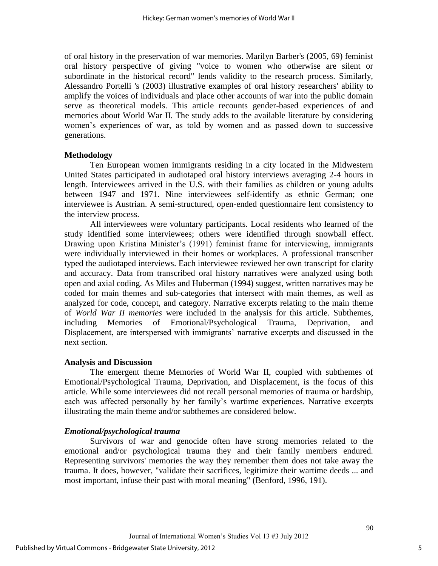of oral history in the preservation of war memories. Marilyn Barber's (2005, 69) feminist oral history perspective of giving "voice to women who otherwise are silent or subordinate in the historical record" lends validity to the research process. Similarly, Alessandro Portelli 's (2003) illustrative examples of oral history researchers' ability to amplify the voices of individuals and place other accounts of war into the public domain serve as theoretical models. This article recounts gender-based experiences of and memories about World War II. The study adds to the available literature by considering women's experiences of war, as told by women and as passed down to successive generations.

#### **Methodology**

 Ten European women immigrants residing in a city located in the Midwestern United States participated in audiotaped oral history interviews averaging 2-4 hours in length. Interviewees arrived in the U.S. with their families as children or young adults between 1947 and 1971. Nine interviewees self-identify as ethnic German; one interviewee is Austrian. A semi-structured, open-ended questionnaire lent consistency to the interview process.

 All interviewees were voluntary participants. Local residents who learned of the study identified some interviewees; others were identified through snowball effect. Drawing upon Kristina Minister's (1991) feminist frame for interviewing, immigrants were individually interviewed in their homes or workplaces. A professional transcriber typed the audiotaped interviews. Each interviewee reviewed her own transcript for clarity and accuracy. Data from transcribed oral history narratives were analyzed using both open and axial coding. As Miles and Huberman (1994) suggest, written narratives may be coded for main themes and sub-categories that intersect with main themes, as well as analyzed for code, concept, and category. Narrative excerpts relating to the main theme of *World War II memories* were included in the analysis for this article. Subthemes, including Memories of Emotional/Psychological Trauma, Deprivation, and Displacement, are interspersed with immigrants' narrative excerpts and discussed in the next section.

#### **Analysis and Discussion**

 The emergent theme Memories of World War II, coupled with subthemes of Emotional/Psychological Trauma, Deprivation, and Displacement, is the focus of this article. While some interviewees did not recall personal memories of trauma or hardship, each was affected personally by her family"s wartime experiences. Narrative excerpts illustrating the main theme and/or subthemes are considered below.

#### *Emotional/psychological trauma*

 Survivors of war and genocide often have strong memories related to the emotional and/or psychological trauma they and their family members endured. Representing survivors' memories the way they remember them does not take away the trauma. It does, however, "validate their sacrifices, legitimize their wartime deeds ... and most important, infuse their past with moral meaning" (Benford, 1996, 191).

5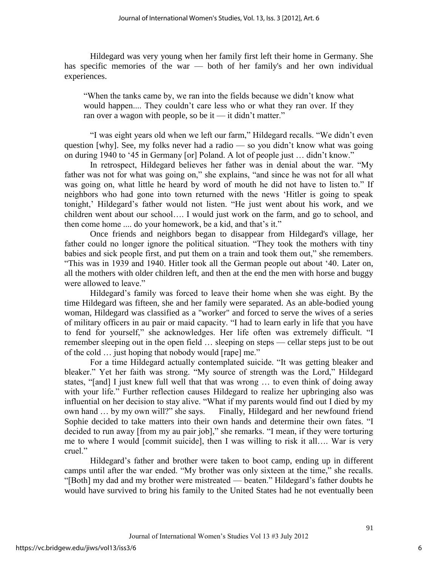Hildegard was very young when her family first left their home in Germany. She has specific memories of the war — both of her family's and her own individual experiences.

"When the tanks came by, we ran into the fields because we didn"t know what would happen.... They couldn't care less who or what they ran over. If they ran over a wagon with people, so be it — it didn"t matter."

"I was eight years old when we left our farm," Hildegard recalls. "We didn"t even question [why]. See, my folks never had a radio — so you didn't know what was going on during 1940 to "45 in Germany [or] Poland. A lot of people just … didn"t know."

In retrospect, Hildegard believes her father was in denial about the war. "My father was not for what was going on," she explains, "and since he was not for all what was going on, what little he heard by word of mouth he did not have to listen to." If neighbors who had gone into town returned with the news "Hitler is going to speak tonight,' Hildegard's father would not listen. "He just went about his work, and we children went about our school…. I would just work on the farm, and go to school, and then come home .... do your homework, be a kid, and that"s it."

 Once friends and neighbors began to disappear from Hildegard's village, her father could no longer ignore the political situation. "They took the mothers with tiny babies and sick people first, and put them on a train and took them out," she remembers. "This was in 1939 and 1940. Hitler took all the German people out about "40. Later on, all the mothers with older children left, and then at the end the men with horse and buggy were allowed to leave."

Hildegard"s family was forced to leave their home when she was eight. By the time Hildegard was fifteen, she and her family were separated. As an able-bodied young woman, Hildegard was classified as a "worker" and forced to serve the wives of a series of military officers in au pair or maid capacity. "I had to learn early in life that you have to fend for yourself," she acknowledges. Her life often was extremely difficult. "I remember sleeping out in the open field … sleeping on steps — cellar steps just to be out of the cold … just hoping that nobody would [rape] me."

For a time Hildegard actually contemplated suicide. "It was getting bleaker and bleaker." Yet her faith was strong. "My source of strength was the Lord," Hildegard states, "[and] I just knew full well that that was wrong … to even think of doing away with your life." Further reflection causes Hildegard to realize her upbringing also was influential on her decision to stay alive. "What if my parents would find out I died by my own hand … by my own will?" she says. Finally, Hildegard and her newfound friend Sophie decided to take matters into their own hands and determine their own fates. "I decided to run away [from my au pair job]," she remarks. "I mean, if they were torturing me to where I would [commit suicide], then I was willing to risk it all…. War is very cruel."

Hildegard"s father and brother were taken to boot camp, ending up in different camps until after the war ended. "My brother was only sixteen at the time," she recalls. "[Both] my dad and my brother were mistreated — beaten." Hildegard"s father doubts he would have survived to bring his family to the United States had he not eventually been

6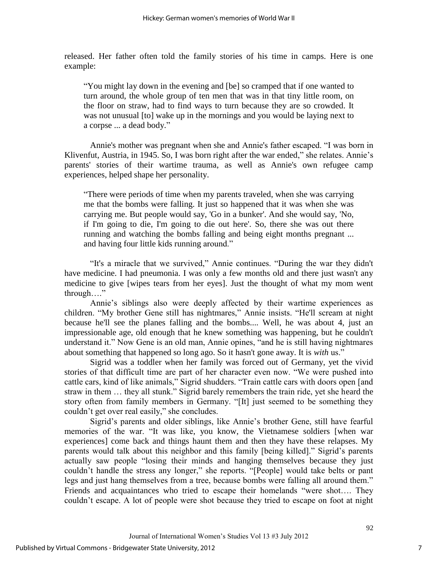released. Her father often told the family stories of his time in camps. Here is one example:

"You might lay down in the evening and [be] so cramped that if one wanted to turn around, the whole group of ten men that was in that tiny little room, on the floor on straw, had to find ways to turn because they are so crowded. It was not unusual [to] wake up in the mornings and you would be laying next to a corpse ... a dead body."

 Annie's mother was pregnant when she and Annie's father escaped. "I was born in Klivenfut, Austria, in 1945. So, I was born right after the war ended," she relates. Annie's parents' stories of their wartime trauma, as well as Annie's own refugee camp experiences, helped shape her personality.

"There were periods of time when my parents traveled, when she was carrying me that the bombs were falling. It just so happened that it was when she was carrying me. But people would say, 'Go in a bunker'. And she would say, 'No, if I'm going to die, I'm going to die out here'. So, there she was out there running and watching the bombs falling and being eight months pregnant ... and having four little kids running around."

"It's a miracle that we survived," Annie continues. "During the war they didn't have medicine. I had pneumonia. I was only a few months old and there just wasn't any medicine to give [wipes tears from her eyes]. Just the thought of what my mom went through…."

Annie"s siblings also were deeply affected by their wartime experiences as children. "My brother Gene still has nightmares," Annie insists. "He'll scream at night because he'll see the planes falling and the bombs.... Well, he was about 4, just an impressionable age, old enough that he knew something was happening, but he couldn't understand it." Now Gene is an old man, Annie opines, "and he is still having nightmares about something that happened so long ago. So it hasn't gone away. It is *with* us."

 Sigrid was a toddler when her family was forced out of Germany, yet the vivid stories of that difficult time are part of her character even now. "We were pushed into cattle cars, kind of like animals," Sigrid shudders. "Train cattle cars with doors open [and straw in them … they all stunk." Sigrid barely remembers the train ride, yet she heard the story often from family members in Germany. "[It] just seemed to be something they couldn"t get over real easily," she concludes.

Sigrid"s parents and older siblings, like Annie"s brother Gene, still have fearful memories of the war. "It was like, you know, the Vietnamese soldiers [when war experiences] come back and things haunt them and then they have these relapses. My parents would talk about this neighbor and this family [being killed]." Sigrid"s parents actually saw people "losing their minds and hanging themselves because they just couldn"t handle the stress any longer," she reports. "[People] would take belts or pant legs and just hang themselves from a tree, because bombs were falling all around them." Friends and acquaintances who tried to escape their homelands "were shot…. They couldn"t escape. A lot of people were shot because they tried to escape on foot at night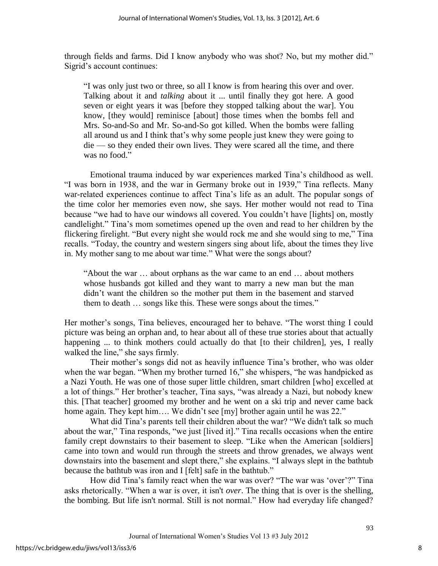through fields and farms. Did I know anybody who was shot? No, but my mother did." Sigrid"s account continues:

"I was only just two or three, so all I know is from hearing this over and over. Talking about it and *talking* about it ... until finally they got here. A good seven or eight years it was [before they stopped talking about the war]. You know, [they would] reminisce [about] those times when the bombs fell and Mrs. So-and-So and Mr. So-and-So got killed. When the bombs were falling all around us and I think that"s why some people just knew they were going to die — so they ended their own lives. They were scared all the time, and there was no food."

Emotional trauma induced by war experiences marked Tina"s childhood as well. "I was born in 1938, and the war in Germany broke out in 1939," Tina reflects. Many war-related experiences continue to affect Tina"s life as an adult. The popular songs of the time color her memories even now, she says. Her mother would not read to Tina because "we had to have our windows all covered. You couldn"t have [lights] on, mostly candlelight." Tina"s mom sometimes opened up the oven and read to her children by the flickering firelight. "But every night she would rock me and she would sing to me," Tina recalls. "Today, the country and western singers sing about life, about the times they live in. My mother sang to me about war time." What were the songs about?

"About the war … about orphans as the war came to an end … about mothers whose husbands got killed and they want to marry a new man but the man didn"t want the children so the mother put them in the basement and starved them to death … songs like this. These were songs about the times."

Her mother"s songs, Tina believes, encouraged her to behave. "The worst thing I could picture was being an orphan and, to hear about all of these true stories about that actually happening ... to think mothers could actually do that [to their children], yes, I really walked the line," she says firmly.

Their mother's songs did not as heavily influence Tina's brother, who was older when the war began. "When my brother turned 16," she whispers, "he was handpicked as a Nazi Youth. He was one of those super little children, smart children [who] excelled at a lot of things." Her brother's teacher, Tina says, "was already a Nazi, but nobody knew this. [That teacher] groomed my brother and he went on a ski trip and never came back home again. They kept him.... We didn't see [my] brother again until he was 22."

What did Tina's parents tell their children about the war? "We didn't talk so much about the war," Tina responds, "we just [lived it]." Tina recalls occasions when the entire family crept downstairs to their basement to sleep. "Like when the American [soldiers] came into town and would run through the streets and throw grenades, we always went downstairs into the basement and slept there," she explains. "I always slept in the bathtub because the bathtub was iron and I [felt] safe in the bathtub."

How did Tina's family react when the war was over? "The war was 'over'?" Tina asks rhetorically. "When a war is over, it isn't *over*. The thing that is over is the shelling, the bombing. But life isn't normal. Still is not normal." How had everyday life changed?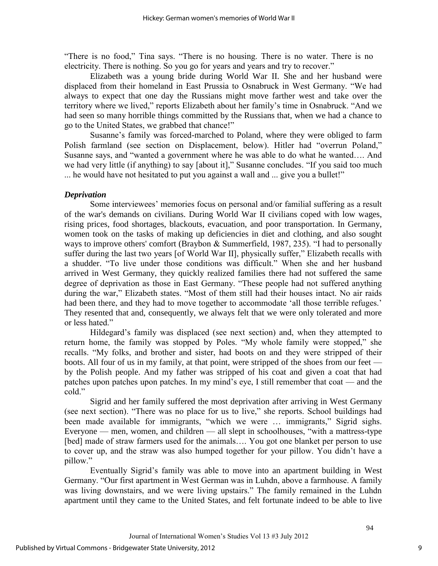"There is no food," Tina says. "There is no housing. There is no water. There is no electricity. There is nothing. So you go for years and years and try to recover."

 Elizabeth was a young bride during World War II. She and her husband were displaced from their homeland in East Prussia to Osnabruck in West Germany. "We had always to expect that one day the Russians might move farther west and take over the territory where we lived," reports Elizabeth about her family"s time in Osnabruck. "And we had seen so many horrible things committed by the Russians that, when we had a chance to go to the United States, we grabbed that chance!"

Susanne"s family was forced-marched to Poland, where they were obliged to farm Polish farmland (see section on Displacement, below). Hitler had "overrun Poland," Susanne says, and "wanted a government where he was able to do what he wanted…. And we had very little (if anything) to say [about it]," Susanne concludes. "If you said too much ... he would have not hesitated to put you against a wall and ... give you a bullet!"

#### *Deprivation*

Some interviewees' memories focus on personal and/or familial suffering as a result of the war's demands on civilians. During World War II civilians coped with low wages, rising prices, food shortages, blackouts, evacuation, and poor transportation. In Germany, women took on the tasks of making up deficiencies in diet and clothing, and also sought ways to improve others' comfort (Braybon & Summerfield, 1987, 235). "I had to personally suffer during the last two years [of World War II], physically suffer," Elizabeth recalls with a shudder. "To live under those conditions was difficult." When she and her husband arrived in West Germany, they quickly realized families there had not suffered the same degree of deprivation as those in East Germany. "These people had not suffered anything during the war," Elizabeth states. "Most of them still had their houses intact. No air raids had been there, and they had to move together to accommodate 'all those terrible refuges.' They resented that and, consequently, we always felt that we were only tolerated and more or less hated."

Hildegard"s family was displaced (see next section) and, when they attempted to return home, the family was stopped by Poles. "My whole family were stopped," she recalls. "My folks, and brother and sister, had boots on and they were stripped of their boots. All four of us in my family, at that point, were stripped of the shoes from our feet by the Polish people. And my father was stripped of his coat and given a coat that had patches upon patches upon patches. In my mind"s eye, I still remember that coat — and the cold."

 Sigrid and her family suffered the most deprivation after arriving in West Germany (see next section). "There was no place for us to live," she reports. School buildings had been made available for immigrants, "which we were … immigrants," Sigrid sighs. Everyone — men, women, and children — all slept in schoolhouses, "with a mattress-type [bed] made of straw farmers used for the animals.... You got one blanket per person to use to cover up, and the straw was also humped together for your pillow. You didn"t have a pillow."

Eventually Sigrid"s family was able to move into an apartment building in West Germany. "Our first apartment in West German was in Luhdn, above a farmhouse. A family was living downstairs, and we were living upstairs." The family remained in the Luhdn apartment until they came to the United States, and felt fortunate indeed to be able to live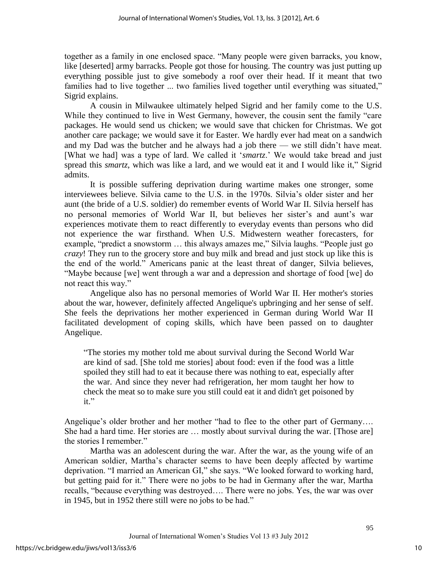together as a family in one enclosed space. "Many people were given barracks, you know, like [deserted] army barracks. People got those for housing. The country was just putting up everything possible just to give somebody a roof over their head. If it meant that two families had to live together ... two families lived together until everything was situated," Sigrid explains.

 A cousin in Milwaukee ultimately helped Sigrid and her family come to the U.S. While they continued to live in West Germany, however, the cousin sent the family "care packages. He would send us chicken; we would save that chicken for Christmas. We got another care package; we would save it for Easter. We hardly ever had meat on a sandwich and my Dad was the butcher and he always had a job there — we still didn"t have meat. [What we had] was a type of lard. We called it 'smartz,' We would take bread and just spread this *smartz*, which was like a lard, and we would eat it and I would like it," Sigrid admits.

 It is possible suffering deprivation during wartime makes one stronger, some interviewees believe. Silvia came to the U.S. in the 1970s. Silvia"s older sister and her aunt (the bride of a U.S. soldier) do remember events of World War II. Silvia herself has no personal memories of World War II, but believes her sister"s and aunt"s war experiences motivate them to react differently to everyday events than persons who did not experience the war firsthand. When U.S. Midwestern weather forecasters, for example, "predict a snowstorm … this always amazes me," Silvia laughs. "People just go *crazy*! They run to the grocery store and buy milk and bread and just stock up like this is the end of the world." Americans panic at the least threat of danger, Silvia believes, "Maybe because [we] went through a war and a depression and shortage of food [we] do not react this way."

 Angelique also has no personal memories of World War II. Her mother's stories about the war, however, definitely affected Angelique's upbringing and her sense of self. She feels the deprivations her mother experienced in German during World War II facilitated development of coping skills, which have been passed on to daughter Angelique.

"The stories my mother told me about survival during the Second World War are kind of sad. [She told me stories] about food: even if the food was a little spoiled they still had to eat it because there was nothing to eat, especially after the war. And since they never had refrigeration, her mom taught her how to check the meat so to make sure you still could eat it and didn't get poisoned by it."

Angelique's older brother and her mother "had to flee to the other part of Germany.... She had a hard time. Her stories are … mostly about survival during the war. [Those are] the stories I remember."

 Martha was an adolescent during the war. After the war, as the young wife of an American soldier, Martha"s character seems to have been deeply affected by wartime deprivation. "I married an American GI," she says. "We looked forward to working hard, but getting paid for it." There were no jobs to be had in Germany after the war, Martha recalls, "because everything was destroyed…. There were no jobs. Yes, the war was over in 1945, but in 1952 there still were no jobs to be had."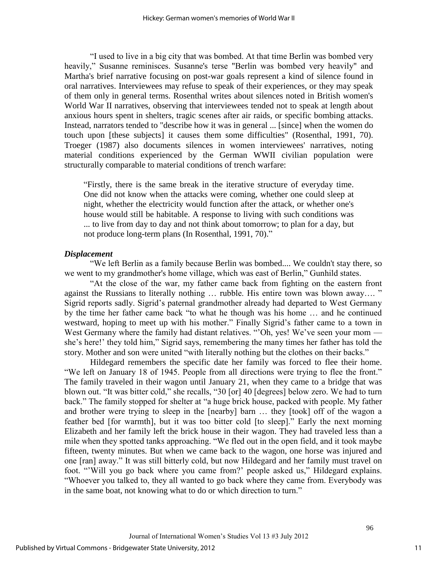"I used to live in a big city that was bombed. At that time Berlin was bombed very heavily," Susanne reminisces. Susanne's terse "Berlin was bombed very heavily" and Martha's brief narrative focusing on post-war goals represent a kind of silence found in oral narratives. Interviewees may refuse to speak of their experiences, or they may speak of them only in general terms. Rosenthal writes about silences noted in British women's World War II narratives, observing that interviewees tended not to speak at length about anxious hours spent in shelters, tragic scenes after air raids, or specific bombing attacks. Instead, narrators tended to "describe how it was in general ... [since] when the women do touch upon [these subjects] it causes them some difficulties" (Rosenthal, 1991, 70). Troeger (1987) also documents silences in women interviewees' narratives, noting material conditions experienced by the German WWII civilian population were structurally comparable to material conditions of trench warfare:

"Firstly, there is the same break in the iterative structure of everyday time. One did not know when the attacks were coming, whether one could sleep at night, whether the electricity would function after the attack, or whether one's house would still be habitable. A response to living with such conditions was ... to live from day to day and not think about tomorrow; to plan for a day, but not produce long-term plans (In Rosenthal, 1991, 70)."

#### *Displacement*

"We left Berlin as a family because Berlin was bombed.... We couldn't stay there, so we went to my grandmother's home village, which was east of Berlin," Gunhild states.

"At the close of the war, my father came back from fighting on the eastern front against the Russians to literally nothing … rubble. His entire town was blown away…. " Sigrid reports sadly. Sigrid"s paternal grandmother already had departed to West Germany by the time her father came back "to what he though was his home … and he continued westward, hoping to meet up with his mother." Finally Sigrid's father came to a town in West Germany where the family had distant relatives. ""Oh, yes! We've seen your mom she's here!' they told him," Sigrid says, remembering the many times her father has told the story. Mother and son were united "with literally nothing but the clothes on their backs."

 Hildegard remembers the specific date her family was forced to flee their home. "We left on January 18 of 1945. People from all directions were trying to flee the front." The family traveled in their wagon until January 21, when they came to a bridge that was blown out. "It was bitter cold," she recalls, "30 [or] 40 [degrees] below zero. We had to turn back." The family stopped for shelter at "a huge brick house, packed with people. My father and brother were trying to sleep in the [nearby] barn … they [took] off of the wagon a feather bed [for warmth], but it was too bitter cold [to sleep]." Early the next morning Elizabeth and her family left the brick house in their wagon. They had traveled less than a mile when they spotted tanks approaching. "We fled out in the open field, and it took maybe fifteen, twenty minutes. But when we came back to the wagon, one horse was injured and one [ran] away." It was still bitterly cold, but now Hildegard and her family must travel on foot. ""Will you go back where you came from?" people asked us," Hildegard explains. "Whoever you talked to, they all wanted to go back where they came from. Everybody was in the same boat, not knowing what to do or which direction to turn."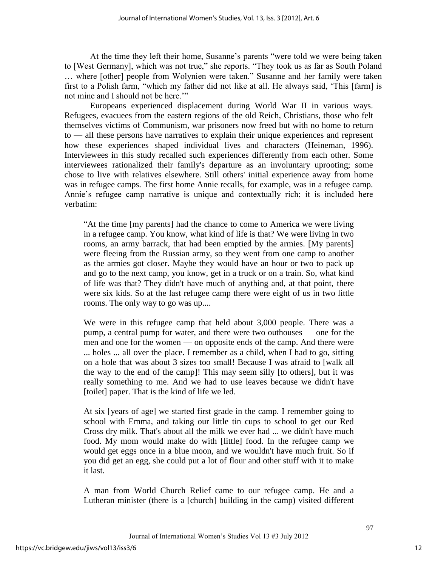At the time they left their home, Susanne's parents "were told we were being taken to [West Germany], which was not true," she reports. "They took us as far as South Poland … where [other] people from Wolynien were taken." Susanne and her family were taken first to a Polish farm, "which my father did not like at all. He always said, "This [farm] is not mine and I should not be here.""

 Europeans experienced displacement during World War II in various ways. Refugees, evacuees from the eastern regions of the old Reich, Christians, those who felt themselves victims of Communism, war prisoners now freed but with no home to return to — all these persons have narratives to explain their unique experiences and represent how these experiences shaped individual lives and characters (Heineman, 1996). Interviewees in this study recalled such experiences differently from each other. Some interviewees rationalized their family's departure as an involuntary uprooting; some chose to live with relatives elsewhere. Still others' initial experience away from home was in refugee camps. The first home Annie recalls, for example, was in a refugee camp. Annie"s refugee camp narrative is unique and contextually rich; it is included here verbatim:

"At the time [my parents] had the chance to come to America we were living in a refugee camp. You know, what kind of life is that? We were living in two rooms, an army barrack, that had been emptied by the armies. [My parents] were fleeing from the Russian army, so they went from one camp to another as the armies got closer. Maybe they would have an hour or two to pack up and go to the next camp, you know, get in a truck or on a train. So, what kind of life was that? They didn't have much of anything and, at that point, there were six kids. So at the last refugee camp there were eight of us in two little rooms. The only way to go was up....

We were in this refugee camp that held about 3,000 people. There was a pump, a central pump for water, and there were two outhouses — one for the men and one for the women — on opposite ends of the camp. And there were ... holes ... all over the place. I remember as a child, when I had to go, sitting on a hole that was about 3 sizes too small! Because I was afraid to [walk all the way to the end of the camp]! This may seem silly [to others], but it was really something to me. And we had to use leaves because we didn't have [toilet] paper. That is the kind of life we led.

At six [years of age] we started first grade in the camp. I remember going to school with Emma, and taking our little tin cups to school to get our Red Cross dry milk. That's about all the milk we ever had ... we didn't have much food. My mom would make do with [little] food. In the refugee camp we would get eggs once in a blue moon, and we wouldn't have much fruit. So if you did get an egg, she could put a lot of flour and other stuff with it to make it last.

A man from World Church Relief came to our refugee camp. He and a Lutheran minister (there is a [church] building in the camp) visited different

12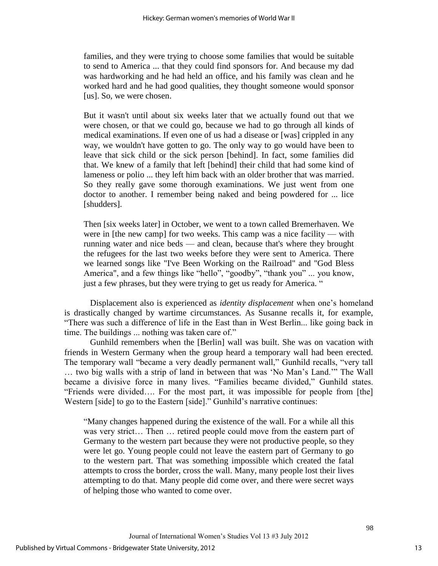families, and they were trying to choose some families that would be suitable to send to America ... that they could find sponsors for. And because my dad was hardworking and he had held an office, and his family was clean and he worked hard and he had good qualities, they thought someone would sponsor [us]. So, we were chosen.

But it wasn't until about six weeks later that we actually found out that we were chosen, or that we could go, because we had to go through all kinds of medical examinations. If even one of us had a disease or [was] crippled in any way, we wouldn't have gotten to go. The only way to go would have been to leave that sick child or the sick person [behind]. In fact, some families did that. We knew of a family that left [behind] their child that had some kind of lameness or polio ... they left him back with an older brother that was married. So they really gave some thorough examinations. We just went from one doctor to another. I remember being naked and being powdered for ... lice [shudders].

Then [six weeks later] in October, we went to a town called Bremerhaven. We were in [the new camp] for two weeks. This camp was a nice facility — with running water and nice beds — and clean, because that's where they brought the refugees for the last two weeks before they were sent to America. There we learned songs like "I've Been Working on the Railroad" and "God Bless America", and a few things like "hello", "goodby", "thank you" ... you know, just a few phrases, but they were trying to get us ready for America. "

 Displacement also is experienced as *identity displacement* when one"s homeland is drastically changed by wartime circumstances. As Susanne recalls it, for example, "There was such a difference of life in the East than in West Berlin... like going back in time. The buildings ... nothing was taken care of."

 Gunhild remembers when the [Berlin] wall was built. She was on vacation with friends in Western Germany when the group heard a temporary wall had been erected. The temporary wall "became a very deadly permanent wall," Gunhild recalls, "very tall … two big walls with a strip of land in between that was "No Man"s Land."" The Wall became a divisive force in many lives. "Families became divided," Gunhild states. "Friends were divided…. For the most part, it was impossible for people from [the] Western [side] to go to the Eastern [side]." Gunhild's narrative continues:

"Many changes happened during the existence of the wall. For a while all this was very strict… Then … retired people could move from the eastern part of Germany to the western part because they were not productive people, so they were let go. Young people could not leave the eastern part of Germany to go to the western part. That was something impossible which created the fatal attempts to cross the border, cross the wall. Many, many people lost their lives attempting to do that. Many people did come over, and there were secret ways of helping those who wanted to come over.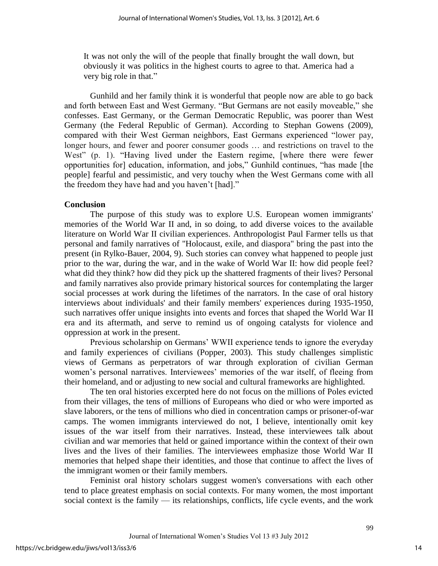It was not only the will of the people that finally brought the wall down, but obviously it was politics in the highest courts to agree to that. America had a very big role in that."

 Gunhild and her family think it is wonderful that people now are able to go back and forth between East and West Germany. "But Germans are not easily moveable," she confesses. East Germany, or the German Democratic Republic, was poorer than West Germany (the Federal Republic of German). According to Stephan Gowens (2009), compared with their West German neighbors, East Germans experienced "lower pay, longer hours, and fewer and poorer consumer goods … and restrictions on travel to the West" (p. 1). "Having lived under the Eastern regime, [where there were fewer opportunities for] education, information, and jobs," Gunhild continues, "has made [the people] fearful and pessimistic, and very touchy when the West Germans come with all the freedom they have had and you haven"t [had]."

### **Conclusion**

The purpose of this study was to explore U.S. European women immigrants' memories of the World War II and, in so doing, to add diverse voices to the available literature on World War II civilian experiences. Anthropologist Paul Farmer tells us that personal and family narratives of "Holocaust, exile, and diaspora" bring the past into the present (in Rylko-Bauer, 2004, 9). Such stories can convey what happened to people just prior to the war, during the war, and in the wake of World War II: how did people feel? what did they think? how did they pick up the shattered fragments of their lives? Personal and family narratives also provide primary historical sources for contemplating the larger social processes at work during the lifetimes of the narrators. In the case of oral history interviews about individuals' and their family members' experiences during 1935-1950, such narratives offer unique insights into events and forces that shaped the World War II era and its aftermath, and serve to remind us of ongoing catalysts for violence and oppression at work in the present.

Previous scholarship on Germans" WWII experience tends to ignore the everyday and family experiences of civilians (Popper, 2003). This study challenges simplistic views of Germans as perpetrators of war through exploration of civilian German women's personal narratives. Interviewees' memories of the war itself, of fleeing from their homeland, and or adjusting to new social and cultural frameworks are highlighted.

 The ten oral histories excerpted here do not focus on the millions of Poles evicted from their villages, the tens of millions of Europeans who died or who were imported as slave laborers, or the tens of millions who died in concentration camps or prisoner-of-war camps. The women immigrants interviewed do not, I believe, intentionally omit key issues of the war itself from their narratives. Instead, these interviewees talk about civilian and war memories that held or gained importance within the context of their own lives and the lives of their families. The interviewees emphasize those World War II memories that helped shape their identities, and those that continue to affect the lives of the immigrant women or their family members.

 Feminist oral history scholars suggest women's conversations with each other tend to place greatest emphasis on social contexts. For many women, the most important social context is the family — its relationships, conflicts, life cycle events, and the work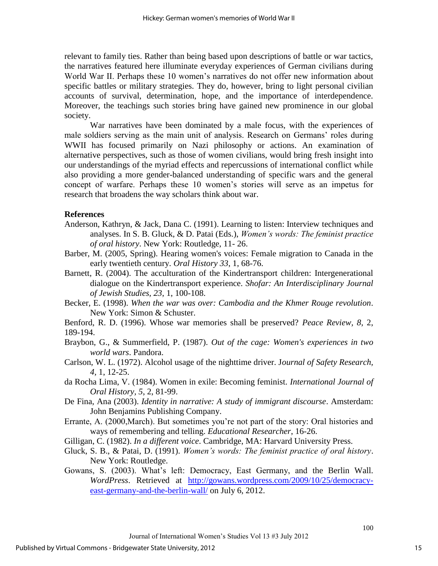relevant to family ties. Rather than being based upon descriptions of battle or war tactics, the narratives featured here illuminate everyday experiences of German civilians during World War II. Perhaps these 10 women"s narratives do not offer new information about specific battles or military strategies. They do, however, bring to light personal civilian accounts of survival, determination, hope, and the importance of interdependence. Moreover, the teachings such stories bring have gained new prominence in our global society.

 War narratives have been dominated by a male focus, with the experiences of male soldiers serving as the main unit of analysis. Research on Germans' roles during WWII has focused primarily on Nazi philosophy or actions. An examination of alternative perspectives, such as those of women civilians, would bring fresh insight into our understandings of the myriad effects and repercussions of international conflict while also providing a more gender-balanced understanding of specific wars and the general concept of warfare. Perhaps these 10 women"s stories will serve as an impetus for research that broadens the way scholars think about war.

#### **References**

- Anderson, Kathryn, & Jack, Dana C. (1991). Learning to listen: Interview techniques and analyses. In S. B. Gluck, & D. Patai (Eds.), *Women's words: The feminist practice of oral history*. New York: Routledge, 11- 26.
- Barber, M. (2005, Spring). Hearing women's voices: Female migration to Canada in the early twentieth century. *Oral History 33*, 1, 68-76.
- Barnett, R. (2004). The acculturation of the Kindertransport children: Intergenerational dialogue on the Kindertransport experience. *Shofar: An Interdisciplinary Journal of Jewish Studies, 23*, 1, 100-108.
- Becker, E. (1998). *When the war was over: Cambodia and the Khmer Rouge revolution*. New York: Simon & Schuster.
- Benford, R. D. (1996). Whose war memories shall be preserved? *Peace Review, 8*, 2, 189-194.
- Braybon, G., & Summerfield, P. (1987). *Out of the cage: Women's experiences in two world wars*. Pandora.
- Carlson, W. L. (1972). Alcohol usage of the nighttime driver. J*ournal of Safety Research, 4,* 1, 12-25.
- da Rocha Lima, V. (1984). Women in exile: Becoming feminist. *International Journal of Oral History, 5*, 2, 81-99.
- De Fina, Ana (2003). *Identity in narrative: A study of immigrant discourse*. Amsterdam: John Benjamins Publishing Company.
- Errante, A. (2000,March). But sometimes you"re not part of the story: Oral histories and ways of remembering and telling. *Educational Researcher*, 16-26.
- Gilligan, C. (1982). *In a different voice*. Cambridge, MA: Harvard University Press.
- Gluck, S. B., & Patai, D. (1991). *Women's words: The feminist practice of oral history*. New York: Routledge.
- Gowans, S. (2003). What"s left: Democracy, East Germany, and the Berlin Wall. *WordPress*. Retrieved at [http://gowans.wordpress.com/2009/10/25/democracy](http://gowans.wordpress.com/2009/10/25/democracy-east-germany-and-the-berlin-wall/)[east-germany-and-the-berlin-wall/](http://gowans.wordpress.com/2009/10/25/democracy-east-germany-and-the-berlin-wall/) on July 6, 2012.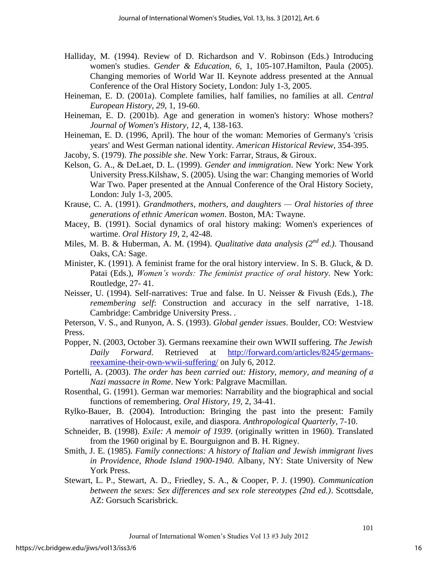- Halliday, M. (1994). Review of D. Richardson and V. Robinson (Eds.) Introducing women's studies. *Gender & Education, 6,* 1, 105-107.Hamilton, Paula (2005). Changing memories of World War II. Keynote address presented at the Annual Conference of the Oral History Society, London: July 1-3, 2005.
- Heineman, E. D. (2001a). Complete families, half families, no families at all. *Central European History, 29*, 1, 19-60.
- Heineman, E. D. (2001b). Age and generation in women's history: Whose mothers? *Journal of Women's History, 12*, 4, 138-163.
- Heineman, E. D. (1996, April). The hour of the woman: Memories of Germany's 'crisis years' and West German national identity. *American Historical Review*, 354-395.

Jacoby, S. (1979). *The possible she*. New York: Farrar, Straus, & Giroux.

- Kelson, G. A., & DeLaet, D. L. (1999). *Gender and immigration*. New York: New York University Press.Kilshaw, S. (2005). Using the war: Changing memories of World War Two. Paper presented at the Annual Conference of the Oral History Society, London: July 1-3, 2005.
- Krause, C. A. (1991). *Grandmothers, mothers, and daughters Oral histories of three generations of ethnic American women*. Boston, MA: Twayne.
- Macey, B. (1991). Social dynamics of oral history making: Women's experiences of wartime. *Oral History 19*, 2, 42-48.
- Miles, M. B. & Huberman, A. M. (1994). *Qualitative data analysis (2nd ed.)*. Thousand Oaks, CA: Sage.
- Minister, K. (1991). A feminist frame for the oral history interview. In S. B. Gluck, & D. Patai (Eds.), *Women's words: The feminist practice of oral history*. New York: Routledge, 27- 41.
- Neisser, U. (1994). Self-narratives: True and false. In U. Neisser & Fivush (Eds.), *The remembering self*: Construction and accuracy in the self narrative, 1-18. Cambridge: Cambridge University Press. .
- Peterson, V. S., and Runyon, A. S. (1993). *Global gender issues*. Boulder, CO: Westview Press.
- Popper, N. (2003, October 3). Germans reexamine their own WWII suffering. *The Jewish Daily Forward*. Retrieved at [http://forward.com/articles/8245/germans](http://forward.com/articles/8245/germans-reexamine-their-own-wwii-suffering/)[reexamine-their-own-wwii-suffering/](http://forward.com/articles/8245/germans-reexamine-their-own-wwii-suffering/) on July 6, 2012.
- Portelli, A. (2003). *The order has been carried out: History, memory, and meaning of a Nazi massacre in Rome*. New York: Palgrave Macmillan.
- Rosenthal, G. (1991). German war memories: Narrability and the biographical and social functions of remembering. *Oral History, 19,* 2, 34-41.
- Rylko-Bauer, B. (2004). Introduction: Bringing the past into the present: Family narratives of Holocaust, exile, and diaspora. *Anthropological Quarterly*, 7-10.
- Schneider, B. (1998). *Exile: A memoir of 1939*. (originally written in 1960). Translated from the 1960 original by E. Bourguignon and B. H. Rigney.
- Smith, J. E. (1985). *Family connections: A history of Italian and Jewish immigrant lives in Providence, Rhode Island 1900-1940*. Albany, NY: State University of New York Press.
- Stewart, L. P., Stewart, A. D., Friedley, S. A., & Cooper, P. J. (1990). *Communication between the sexes: Sex differences and sex role stereotypes (2nd ed.)*. Scottsdale, AZ: Gorsuch Scarisbrick.